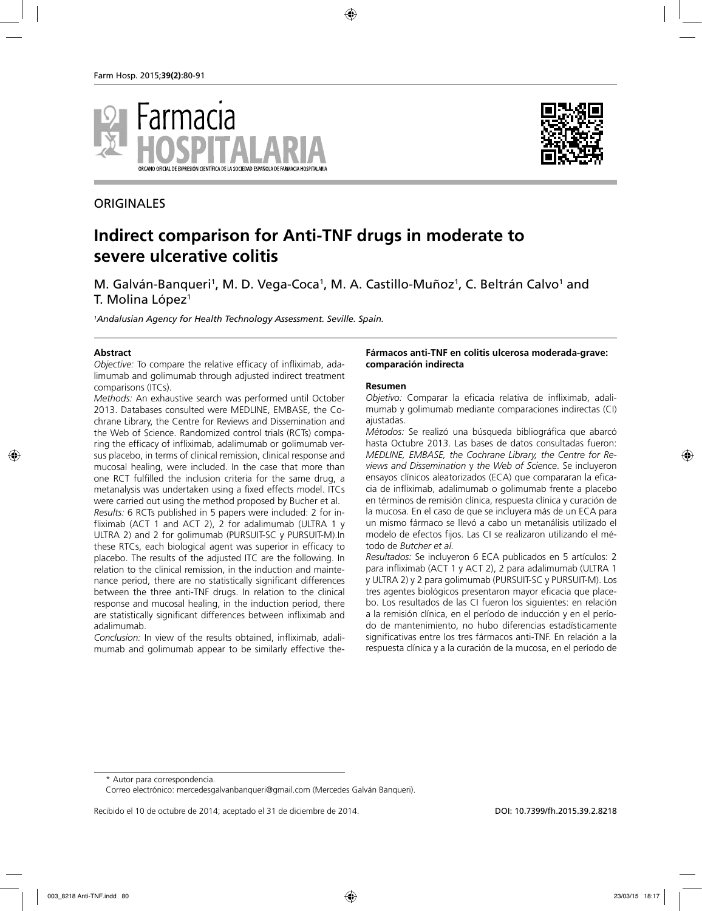



# **ORIGINALES**

# **Indirect comparison for Anti-TNF drugs in moderate to severe ulcerative colitis**

M. Galván-Banqueri<sup>1</sup>, M. D. Vega-Coca<sup>1</sup>, M. A. Castillo-Muñoz<sup>1</sup>, C. Beltrán Calvo<sup>1</sup> and T. Molina López<sup>1</sup>

*1 Andalusian Agency for Health Technology Assessment. Seville. Spain.*

#### **Abstract**

*Objective:* To compare the relative efficacy of infliximab, adalimumab and golimumab through adjusted indirect treatment comparisons (ITCs).

*Methods:* An exhaustive search was performed until October 2013. Databases consulted were MEDLINE, EMBASE, the Cochrane Library, the Centre for Reviews and Dissemination and the Web of Science. Randomized control trials (RCTs) comparing the efficacy of infliximab, adalimumab or golimumab versus placebo, in terms of clinical remission, clinical response and mucosal healing, were included. In the case that more than one RCT fulfilled the inclusion criteria for the same drug, a metanalysis was undertaken using a fixed effects model. ITCs were carried out using the method proposed by Bucher et al. *Results:* 6 RCTs published in 5 papers were included: 2 for infliximab (ACT 1 and ACT 2), 2 for adalimumab (ULTRA 1 y ULTRA 2) and 2 for golimumab (PURSUIT-SC y PURSUIT-M).In these RTCs, each biological agent was superior in efficacy to placebo. The results of the adjusted ITC are the following. In relation to the clinical remission, in the induction and maintenance period, there are no statistically significant differences between the three anti-TNF drugs. In relation to the clinical response and mucosal healing, in the induction period, there are statistically significant differences between infliximab and adalimumab.

*Conclusion:* In view of the results obtained, infliximab, adalimumab and golimumab appear to be similarly effective the-

#### **Fármacos anti-TNF en colitis ulcerosa moderada-grave: comparación indirecta**

#### **Resumen**

*Objetivo:* Comparar la eficacia relativa de infliximab, adalimumab y golimumab mediante comparaciones indirectas (CI) ajustadas.

*Métodos:* Se realizó una búsqueda bibliográfica que abarcó hasta Octubre 2013. Las bases de datos consultadas fueron: *MEDLINE, EMBASE, the Cochrane Library, the Centre for Reviews and Dissemination* y *the Web of Science*. Se incluyeron ensayos clínicos aleatorizados (ECA) que compararan la eficacia de infliximab, adalimumab o golimumab frente a placebo en términos de remisión clínica, respuesta clínica y curación de la mucosa. En el caso de que se incluyera más de un ECA para un mismo fármaco se llevó a cabo un metanálisis utilizado el modelo de efectos fijos. Las CI se realizaron utilizando el método de *Butcher et al.*

*Resultados:* Se incluyeron 6 ECA publicados en 5 artículos: 2 para infliximab (ACT 1 y ACT 2), 2 para adalimumab (ULTRA 1 y ULTRA 2) y 2 para golimumab (PURSUIT-SC y PURSUIT-M). Los tres agentes biológicos presentaron mayor eficacia que placebo. Los resultados de las CI fueron los siguientes: en relación a la remisión clínica, en el período de inducción y en el período de mantenimiento, no hubo diferencias estadísticamente significativas entre los tres fármacos anti-TNF. En relación a la respuesta clínica y a la curación de la mucosa, en el período de

<sup>\*</sup> Autor para correspondencia.

Correo electrónico: mercedesgalvanbanqueri@gmail.com (Mercedes Galván Banqueri).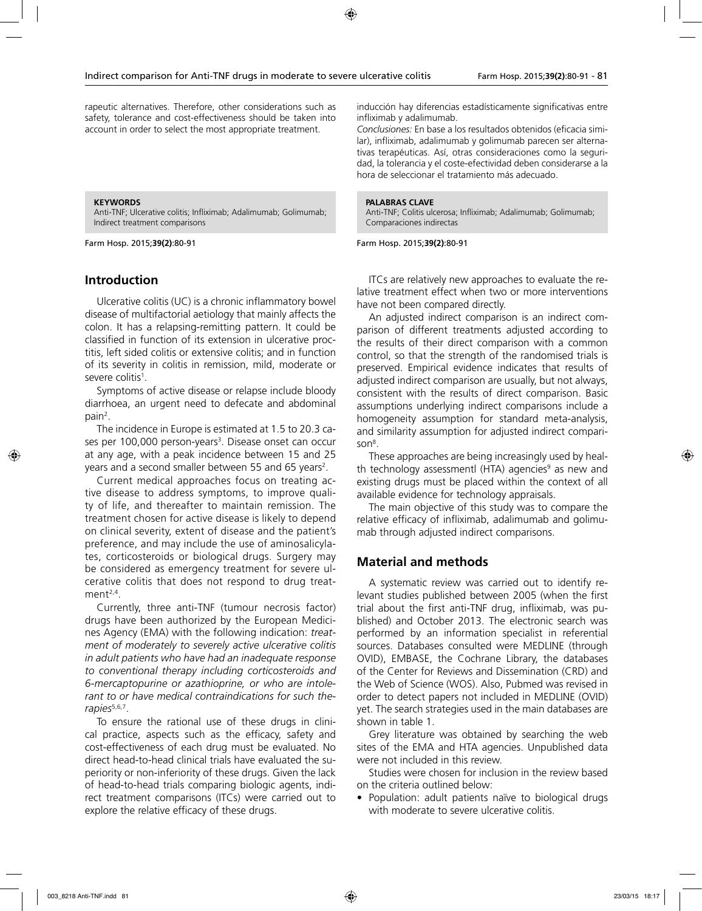rapeutic alternatives. Therefore, other considerations such as safety, tolerance and cost-effectiveness should be taken into account in order to select the most appropriate treatment.

**KEYWORDS**

Anti-TNF; Ulcerative colitis; Infliximab; Adalimumab; Golimumab; Indirect treatment comparisons

Farm Hosp. 2015;**39(2)**:80-91

## **Introduction**

Ulcerative colitis (UC) is a chronic inflammatory bowel disease of multifactorial aetiology that mainly affects the colon. It has a relapsing-remitting pattern. It could be classified in function of its extension in ulcerative proctitis, left sided colitis or extensive colitis; and in function of its severity in colitis in remission, mild, moderate or severe colitis<sup>1</sup>.

Symptoms of active disease or relapse include bloody diarrhoea, an urgent need to defecate and abdominal pain<sup>2</sup>.

The incidence in Europe is estimated at 1.5 to 20.3 cases per 100,000 person-years<sup>3</sup>. Disease onset can occur at any age, with a peak incidence between 15 and 25 years and a second smaller between 55 and 65 years<sup>2</sup>.

Current medical approaches focus on treating active disease to address symptoms, to improve quality of life, and thereafter to maintain remission. The treatment chosen for active disease is likely to depend on clinical severity, extent of disease and the patient's preference, and may include the use of aminosalicylates, corticosteroids or biological drugs. Surgery may be considered as emergency treatment for severe ulcerative colitis that does not respond to drug treatment $2,4$ .

Currently, three anti-TNF (tumour necrosis factor) drugs have been authorized by the European Medicines Agency (EMA) with the following indication: *treatment of moderately to severely active ulcerative colitis in adult patients who have had an inadequate response to conventional therapy including corticosteroids and 6-mercaptopurine or azathioprine, or who are intolerant to or have medical contraindications for such therapies*5,6,7.

To ensure the rational use of these drugs in clinical practice, aspects such as the efficacy, safety and cost-effectiveness of each drug must be evaluated. No direct head-to-head clinical trials have evaluated the superiority or non-inferiority of these drugs. Given the lack of head-to-head trials comparing biologic agents, indirect treatment comparisons (ITCs) were carried out to explore the relative efficacy of these drugs.

inducción hay diferencias estadísticamente significativas entre infliximab y adalimumab.

*Conclusiones:* En base a los resultados obtenidos (eficacia similar), infliximab, adalimumab y golimumab parecen ser alternativas terapéuticas. Así, otras consideraciones como la seguridad, la tolerancia y el coste-efectividad deben considerarse a la hora de seleccionar el tratamiento más adecuado.

#### **PALABRAS CLAVE**

Anti-TNF; Colitis ulcerosa; Infliximab; Adalimumab; Golimumab; Comparaciones indirectas

Farm Hosp. 2015;**39(2)**:80-91

ITCs are relatively new approaches to evaluate the relative treatment effect when two or more interventions have not been compared directly.

An adjusted indirect comparison is an indirect comparison of different treatments adjusted according to the results of their direct comparison with a common control, so that the strength of the randomised trials is preserved. Empirical evidence indicates that results of adjusted indirect comparison are usually, but not always, consistent with the results of direct comparison. Basic assumptions underlying indirect comparisons include a homogeneity assumption for standard meta-analysis, and similarity assumption for adjusted indirect compari- $\mathsf{son}^\mathsf{8}.$ 

These approaches are being increasingly used by health technology assessmentl (HTA) agencies<sup>9</sup> as new and existing drugs must be placed within the context of all available evidence for technology appraisals.

The main objective of this study was to compare the relative efficacy of infliximab, adalimumab and golimumab through adjusted indirect comparisons.

### **Material and methods**

A systematic review was carried out to identify relevant studies published between 2005 (when the first trial about the first anti-TNF drug, infliximab, was published) and October 2013. The electronic search was performed by an information specialist in referential sources. Databases consulted were MEDLINE (through OVID), EMBASE, the Cochrane Library, the databases of the Center for Reviews and Dissemination (CRD) and the Web of Science (WOS). Also, Pubmed was revised in order to detect papers not included in MEDLINE (OVID) yet. The search strategies used in the main databases are shown in table 1.

Grey literature was obtained by searching the web sites of the EMA and HTA agencies. Unpublished data were not included in this review.

Studies were chosen for inclusion in the review based on the criteria outlined below:

• Population: adult patients naïve to biological drugs with moderate to severe ulcerative colitis.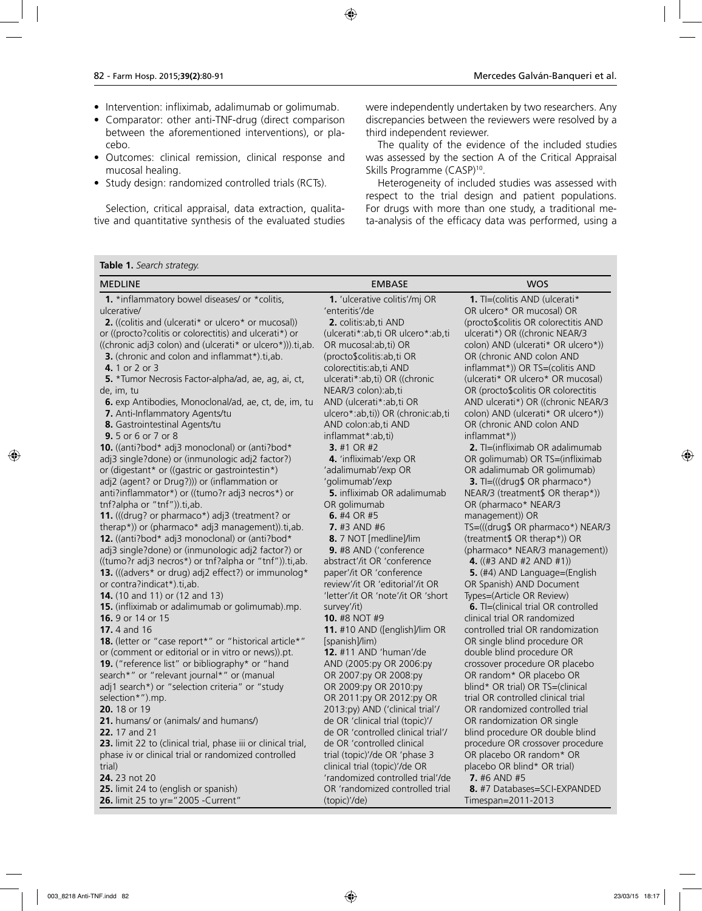- Intervention: infliximab, adalimumab or golimumab.
- Comparator: other anti-TNF-drug (direct comparison between the aforementioned interventions), or placebo.
- Outcomes: clinical remission, clinical response and mucosal healing.
- Study design: randomized controlled trials (RCTs).

Selection, critical appraisal, data extraction, qualitative and quantitative synthesis of the evaluated studies

#### **Table 1.** *Search strategy.*

| <b>MEDLINE</b>                                                | <b>EMBASE</b>                      | <b>WOS</b>                           |
|---------------------------------------------------------------|------------------------------------|--------------------------------------|
| 1. *inflammatory bowel diseases/ or *colitis,                 | 1. 'ulcerative colitis'/mj OR      | 1. TI=(colitis AND (ulcerati*        |
| ulcerative/                                                   | 'enteritis'/de                     | OR ulcero* OR mucosal) OR            |
| 2. ((colitis and (ulcerati* or ulcero* or mucosal))           | 2. colitis:ab,ti AND               | (procto\$colitis OR colorectitis AND |
| or ((procto?colitis or colorectitis) and ulcerati*) or        | (ulcerati*:ab,ti OR ulcero*:ab,ti  | ulcerati*) OR ((chronic NEAR/3       |
| ((chronic adj3 colon) and (ulcerati* or ulcero*))) ti,ab.     | OR mucosal:ab,ti) OR               | colon) AND (ulcerati* OR ulcero*))   |
| 3. (chronic and colon and inflammat*).ti,ab.                  | (procto\$colitis:ab,ti OR          | OR (chronic AND colon AND            |
| 4. 1 or 2 or 3                                                | colorectitis:ab,ti AND             | inflammat*)) OR TS=(colitis AND      |
| 5. *Tumor Necrosis Factor-alpha/ad, ae, ag, ai, ct,           | ulcerati*:ab,ti) OR ((chronic      | (ulcerati* OR ulcero* OR mucosal)    |
| de, im, tu                                                    | NEAR/3 colon):ab,ti                | OR (procto\$colitis OR colorectitis  |
| 6. exp Antibodies, Monoclonal/ad, ae, ct, de, im, tu          | AND (ulcerati*:ab,ti OR            | AND ulcerati*) OR ((chronic NEAR/3   |
| 7. Anti-Inflammatory Agents/tu                                | ulcero*:ab,ti)) OR (chronic:ab,ti  | colon) AND (ulcerati* OR ulcero*))   |
| 8. Gastrointestinal Agents/tu                                 | AND colon:ab,ti AND                | OR (chronic AND colon AND            |
| <b>9.</b> 5 or 6 or 7 or 8                                    | inflammat*:ab,ti)                  | inflammat*))                         |
| 10. ((anti?bod* adj3 monoclonal) or (anti?bod*                | 3. #1 OR #2                        | 2. TI=(infliximab OR adalimumab      |
| adj3 single?done) or (inmunologic adj2 factor?)               | 4. 'infliximab'/exp OR             | OR golimumab) OR TS=(infliximab      |
| or (digestant* or ((gastric or gastrointestin*)               | 'adalimumab'/exp OR                | OR adalimumab OR golimumab)          |
| adj2 (agent? or Drug?))) or (inflammation or                  | 'golimumab'/exp                    | 3. TI=(((drug\$ OR pharmaco*)        |
| anti?inflammator*) or ((tumo?r adj3 necros*) or               | <b>5.</b> infliximab OR adalimumab | NEAR/3 (treatment\$ OR therap*))     |
| tnf?alpha or "tnf")).ti,ab.                                   | OR golimumab                       | OR (pharmaco* NEAR/3                 |
| 11. (((drug? or pharmaco*) adj3 (treatment? or                | 6. #4 OR #5                        | management)) OR                      |
| therap*)) or (pharmaco* adj3 management)).ti,ab.              | <b>7.</b> #3 AND #6                | TS=(((drug\$ OR pharmaco*) NEAR/3    |
| 12. ((anti?bod* adj3 monoclonal) or (anti?bod*                | 8. 7 NOT [medline]/lim             | (treatment\$ OR therap*)) OR         |
| adj3 single?done) or (inmunologic adj2 factor?) or            | 9. #8 AND ('conference             | (pharmaco* NEAR/3 management))       |
| ((tumo?r adj3 necros*) or tnf?alpha or "tnf")) ti,ab.         | abstract'/it OR 'conference        | 4. $((#3 AND #2 AND #1))$            |
| 13. (((advers* or drug) adj2 effect?) or immunolog*           | paper'/it OR 'conference           | 5. (#4) AND Language=(English        |
| or contra?indicat*).ti,ab.                                    | review'/it OR 'editorial'/it OR    | OR Spanish) AND Document             |
| <b>14.</b> (10 and 11) or (12 and 13)                         | 'letter'/it OR 'note'/it OR 'short | Types=(Article OR Review)            |
| 15. (infliximab or adalimumab or golimumab).mp.               | survey'/it)                        | 6. TI=(clinical trial OR controlled  |
| 16.9 or 14 or 15                                              | 10. #8 NOT #9                      | clinical trial OR randomized         |
| <b>17.</b> 4 and 16                                           | 11. #10 AND ([english]/lim OR      | controlled trial OR randomization    |
| 18. (letter or "case report*" or "historical article*"        | [spanish]/lim)                     | OR single blind procedure OR         |
| or (comment or editorial or in vitro or news)) pt.            | 12. #11 AND 'human'/de             | double blind procedure OR            |
| 19. ("reference list" or bibliography* or "hand               | AND (2005:py OR 2006:py            | crossover procedure OR placebo       |
| search*" or "relevant journal*" or (manual                    | OR 2007:py OR 2008:py              | OR random* OR placebo OR             |
| adj1 search*) or "selection criteria" or "study               | OR 2009:py OR 2010:py              | blind* OR trial) OR TS=(clinical     |
| selection*").mp.                                              | OR 2011:py OR 2012:py OR           | trial OR controlled clinical trial   |
| 20. 18 or 19                                                  | 2013:py) AND ('clinical trial'/    | OR randomized controlled trial       |
| 21. humans/ or (animals/ and humans/)                         | de OR 'clinical trial (topic)'/    | OR randomization OR single           |
| <b>22.</b> 17 and 21                                          | de OR 'controlled clinical trial'/ | blind procedure OR double blind      |
| 23. limit 22 to (clinical trial, phase iii or clinical trial, | de OR 'controlled clinical         | procedure OR crossover procedure     |
| phase iv or clinical trial or randomized controlled           | trial (topic)'/de OR 'phase 3      | OR placebo OR random* OR             |
| trial)                                                        | clinical trial (topic)'/de OR      | placebo OR blind* OR trial)          |
| 24.23 not 20                                                  | 'randomized controlled trial'/de   | 7. #6 AND #5                         |
| 25. limit 24 to (english or spanish)                          | OR 'randomized controlled trial    | 8. #7 Databases=SCI-EXPANDED         |
| 26. limit 25 to yr="2005 -Current"                            | (topic)'/de)                       | Timespan=2011-2013                   |
|                                                               |                                    |                                      |
|                                                               |                                    |                                      |

were independently undertaken by two researchers. Any discrepancies between the reviewers were resolved by a third independent reviewer.

The quality of the evidence of the included studies was assessed by the section A of the Critical Appraisal Skills Programme (CASP)<sup>10</sup>.

Heterogeneity of included studies was assessed with respect to the trial design and patient populations. For drugs with more than one study, a traditional meta-analysis of the efficacy data was performed, using a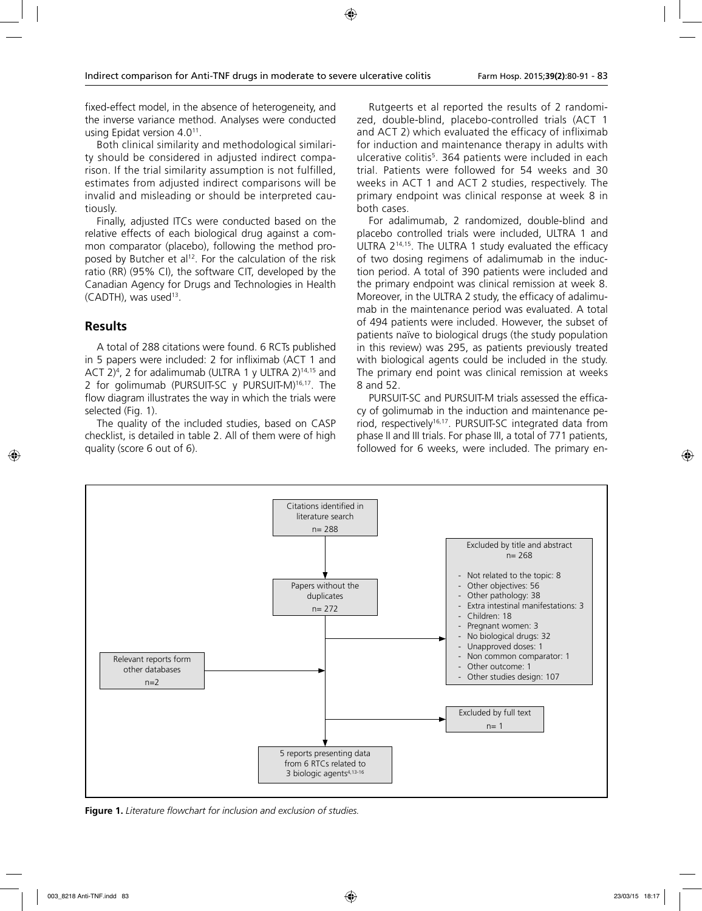fixed-effect model, in the absence of heterogeneity, and the inverse variance method. Analyses were conducted using Epidat version 4.0<sup>11</sup>.

Both clinical similarity and methodological similarity should be considered in adjusted indirect comparison. If the trial similarity assumption is not fulfilled, estimates from adjusted indirect comparisons will be invalid and misleading or should be interpreted cautiously.

Finally, adjusted ITCs were conducted based on the relative effects of each biological drug against a common comparator (placebo), following the method proposed by Butcher et al<sup>12</sup>. For the calculation of the risk ratio (RR) (95% CI), the software CIT, developed by the Canadian Agency for Drugs and Technologies in Health  $(CADTH)$ , was used<sup>13</sup>.

## **Results**

A total of 288 citations were found. 6 RCTs published in 5 papers were included: 2 for infliximab (ACT 1 and ACT 2)<sup>4</sup>, 2 for adalimumab (ULTRA 1 y ULTRA 2)<sup>14,15</sup> and 2 for golimumab (PURSUIT-SC y PURSUIT-M)16,17. The flow diagram illustrates the way in which the trials were selected (Fig. 1).

The quality of the included studies, based on CASP checklist, is detailed in table 2. All of them were of high quality (score 6 out of 6).

Rutgeerts et al reported the results of 2 randomized, double-blind, placebo-controlled trials (ACT 1 and ACT 2) which evaluated the efficacy of infliximab for induction and maintenance therapy in adults with ulcerative colitis<sup>5</sup>. 364 patients were included in each trial. Patients were followed for 54 weeks and 30 weeks in ACT 1 and ACT 2 studies, respectively. The primary endpoint was clinical response at week 8 in both cases.

For adalimumab, 2 randomized, double-blind and placebo controlled trials were included, ULTRA 1 and ULTRA 214,15. The ULTRA 1 study evaluated the efficacy of two dosing regimens of adalimumab in the induction period. A total of 390 patients were included and the primary endpoint was clinical remission at week 8. Moreover, in the ULTRA 2 study, the efficacy of adalimumab in the maintenance period was evaluated. A total of 494 patients were included. However, the subset of patients naïve to biological drugs (the study population in this review) was 295, as patients previously treated with biological agents could be included in the study. The primary end point was clinical remission at weeks 8 and 52.

PURSUIT-SC and PURSUIT-M trials assessed the efficacy of golimumab in the induction and maintenance period, respectively<sup>16,17</sup>. PURSUIT-SC integrated data from phase II and III trials. For phase III, a total of 771 patients, followed for 6 weeks, were included. The primary en-



**Figure 1.** *Literature flowchart for inclusion and exclusion of studies.*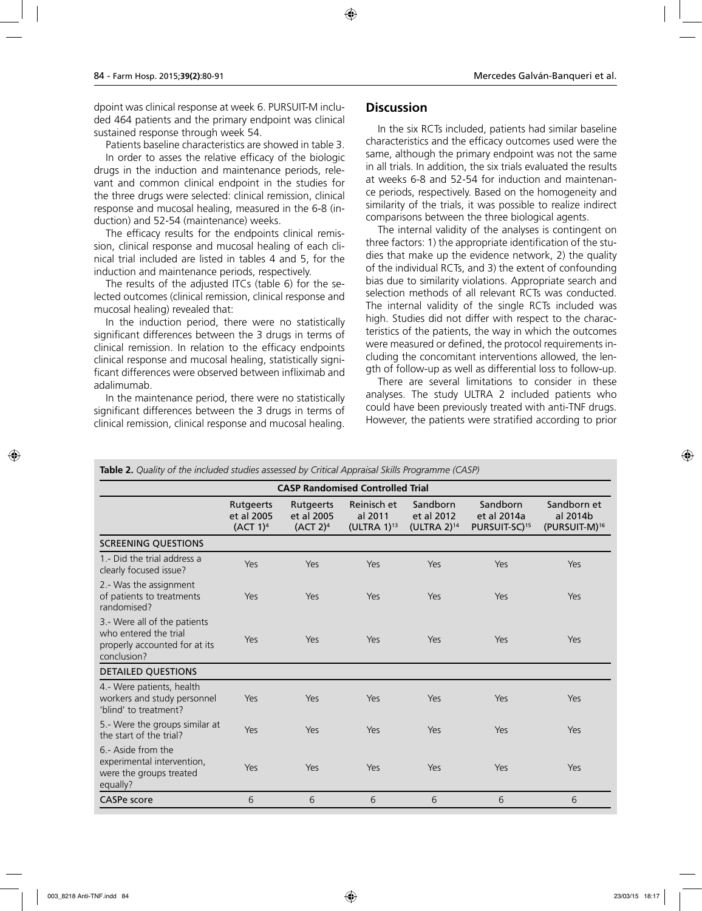dpoint was clinical response at week 6. PURSUIT-M included 464 patients and the primary endpoint was clinical sustained response through week 54.

Patients baseline characteristics are showed in table 3.

In order to asses the relative efficacy of the biologic drugs in the induction and maintenance periods, relevant and common clinical endpoint in the studies for the three drugs were selected: clinical remission, clinical response and mucosal healing, measured in the 6-8 (induction) and 52-54 (maintenance) weeks.

The efficacy results for the endpoints clinical remission, clinical response and mucosal healing of each clinical trial included are listed in tables 4 and 5, for the induction and maintenance periods, respectively.

The results of the adjusted ITCs (table 6) for the selected outcomes (clinical remission, clinical response and mucosal healing) revealed that:

In the induction period, there were no statistically significant differences between the 3 drugs in terms of clinical remission. In relation to the efficacy endpoints clinical response and mucosal healing, statistically significant differences were observed between infliximab and adalimumab.

In the maintenance period, there were no statistically significant differences between the 3 drugs in terms of clinical remission, clinical response and mucosal healing.

## **Discussion**

In the six RCTs included, patients had similar baseline characteristics and the efficacy outcomes used were the same, although the primary endpoint was not the same in all trials. In addition, the six trials evaluated the results at weeks 6-8 and 52-54 for induction and maintenance periods, respectively. Based on the homogeneity and similarity of the trials, it was possible to realize indirect comparisons between the three biological agents.

The internal validity of the analyses is contingent on three factors: 1) the appropriate identification of the studies that make up the evidence network, 2) the quality of the individual RCTs, and 3) the extent of confounding bias due to similarity violations. Appropriate search and selection methods of all relevant RCTs was conducted. The internal validity of the single RCTs included was high. Studies did not differ with respect to the characteristics of the patients, the way in which the outcomes were measured or defined, the protocol requirements including the concomitant interventions allowed, the length of follow-up as well as differential loss to follow-up.

There are several limitations to consider in these analyses. The study ULTRA 2 included patients who could have been previously treated with anti-TNF drugs. However, the patients were stratified according to prior

| Table 2. Quality of the included studies assessed by Critical Appraisal Skills Programme (CASP)       |                                                        |                                                        |                                                      |                                            |                                                      |                                                      |
|-------------------------------------------------------------------------------------------------------|--------------------------------------------------------|--------------------------------------------------------|------------------------------------------------------|--------------------------------------------|------------------------------------------------------|------------------------------------------------------|
|                                                                                                       |                                                        |                                                        | <b>CASP Randomised Controlled Trial</b>              |                                            |                                                      |                                                      |
|                                                                                                       | <b>Rutgeerts</b><br>et al 2005<br>(ACT 1) <sup>4</sup> | <b>Rutgeerts</b><br>et al 2005<br>(ACT 2) <sup>4</sup> | Reinisch et<br>al 2011<br>(ULTRA $1$ ) <sup>13</sup> | Sandborn<br>et al 2012<br>$(ULTRA 2)^{14}$ | Sandborn<br>et al 2014a<br>PURSUIT-SC) <sup>15</sup> | Sandborn et<br>al 2014b<br>(PURSUIT-M) <sup>16</sup> |
| <b>SCREENING QUESTIONS</b>                                                                            |                                                        |                                                        |                                                      |                                            |                                                      |                                                      |
| 1 - Did the trial address a<br>clearly focused issue?                                                 | Yes                                                    | Yes                                                    | Yes                                                  | Yes                                        | Yes                                                  | Yes                                                  |
| 2.- Was the assignment<br>of patients to treatments<br>randomised?                                    | Yes                                                    | Yes                                                    | Yes                                                  | Yes                                        | Yes                                                  | Yes                                                  |
| 3.- Were all of the patients<br>who entered the trial<br>properly accounted for at its<br>conclusion? | Yes                                                    | Yes                                                    | Yes                                                  | Yes                                        | Yes                                                  | Yes                                                  |
| <b>DETAILED QUESTIONS</b>                                                                             |                                                        |                                                        |                                                      |                                            |                                                      |                                                      |
| 4.- Were patients, health<br>workers and study personnel<br>'blind' to treatment?                     | Yes                                                    | Yes                                                    | Yes                                                  | Yes                                        | Yes                                                  | Yes                                                  |
| 5.- Were the groups similar at<br>the start of the trial?                                             | Yes                                                    | Yes                                                    | Yes                                                  | Yes                                        | Yes                                                  | Yes                                                  |
| 6.- Aside from the<br>experimental intervention,<br>were the groups treated<br>equally?               | Yes                                                    | Yes                                                    | Yes                                                  | Yes                                        | Yes                                                  | Yes                                                  |
| <b>CASPe score</b>                                                                                    | 6                                                      | 6                                                      | 6                                                    | 6                                          | 6                                                    | 6                                                    |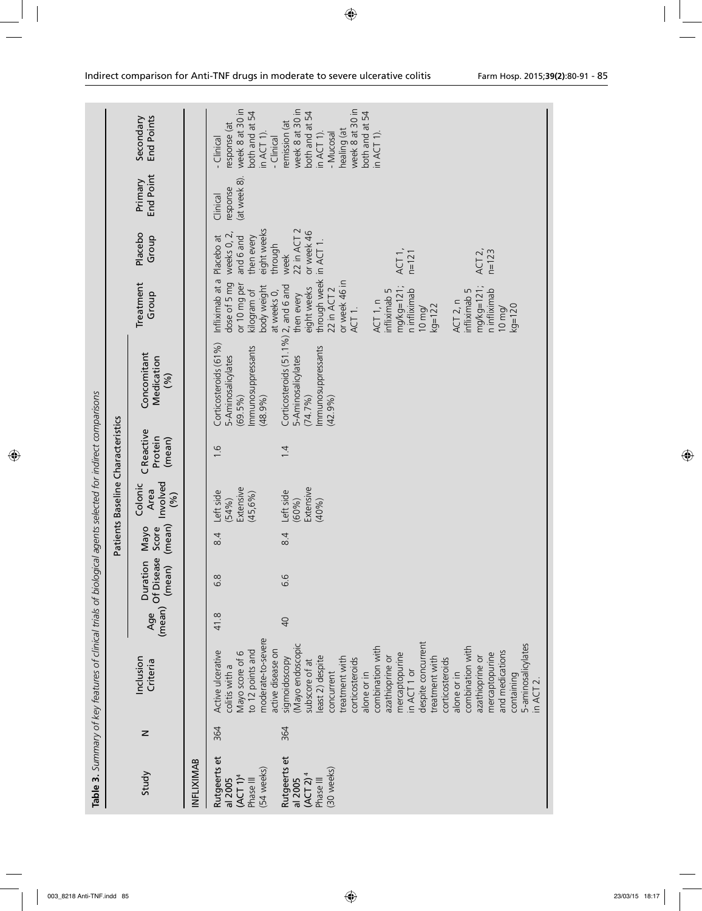| End Point<br>(at week 8).<br>Primary<br>response<br>Clinical<br>eight weeks<br>22 in ACT 2<br>or week 46<br>weeks 0, 2,<br>Placebo<br>then every<br>Group<br>Placebo at<br>and 6 and<br>in ACT 1.<br>through<br>ACT <sub>2</sub> ,<br>$n = 123$<br>ACT 1,<br>$n = 121$<br>week<br>Infliximab at a<br>through week<br>or week 46 in<br>Treatment<br>dose of 5 mg<br>or 10 mg per<br>Corticosteroids (51.1%) 2, and 6 and<br>body weight<br>eight weeks<br>$mg/kg = 121$ ;<br>mg/kg=121;<br>22 in ACT 2<br>kilogram of<br>infliximab <sub>5</sub><br>infliximab 5<br>n infliximab<br>n infliximab<br>at weeks 0,<br>Group<br>then every<br>ACT 2, n<br>ACT 1, n<br>$kg = 120$<br>$kg = 122$<br>$10$ ma/<br>$10 \, \text{mg}$<br>ACT1.<br>Corticosteroids (61%)<br>mmunosuppressants<br>mmunosuppressants<br>Concomitant<br>5-Aminosalicylates<br>Medication<br>5-Aminosalicylates<br>(%)<br>$(69.5\%)$<br>(48.9%)<br>(74.7%<br>(42.9%<br>Patients Baseline Characteristics<br>C Reactive<br>Protein<br>(mean)<br>$-1.6$<br>1.4<br>Involved<br>Colonic<br>Extensive<br>Extensive<br>Area<br>Left side<br>Left side<br>(96)<br>$(45, 6\%)$<br>(54%)<br>(60%)<br>(40%<br>(mean)<br>Score<br><b>Mayo</b><br>$\frac{4}{8}$<br>8.4<br>(mean) Of Disease<br>Duration<br>(mean)<br>6.6<br>$\frac{8}{6}$<br>41.8<br>40<br>moderate-to-severe<br>despite concurrent<br>Mayo endoscopic<br>5-aminosalicylates<br>combination with<br>combination with<br>to 12 points and<br>active disease on<br>Active ulcerative<br>and medications<br>Mayo score of 6<br>mercaptopurine<br>mercaptopurine<br>east 2) despite<br>azathioprine or<br>azathioprine or<br>Inclusion<br>treatment with<br>treatment with<br>corticosteroids<br>sigmoidoscopy<br>corticosteroids<br>Criteria<br>subscore of at<br>colitis with a<br>in ACT 1 or<br>concurrent<br>alone or in<br>alone or in<br>containing<br>in ACT 2.<br>364<br>364<br>$\mathsf{z}$<br>Rutgeerts et<br>Rutgeerts et<br>INFLIXIMAB<br>(30 weeks)<br>(54 weeks)<br>Study<br>(ACT2) <sup>4</sup><br>(ACT 1) <sup>4</sup><br>al 2005<br>al 2005<br>Phase III<br>Phase III |  | Table 3. Summary of key features of clinical trials of biological agents selected for indirect comparisons |  |  |  |  |                                                                                                                                                  |
|---------------------------------------------------------------------------------------------------------------------------------------------------------------------------------------------------------------------------------------------------------------------------------------------------------------------------------------------------------------------------------------------------------------------------------------------------------------------------------------------------------------------------------------------------------------------------------------------------------------------------------------------------------------------------------------------------------------------------------------------------------------------------------------------------------------------------------------------------------------------------------------------------------------------------------------------------------------------------------------------------------------------------------------------------------------------------------------------------------------------------------------------------------------------------------------------------------------------------------------------------------------------------------------------------------------------------------------------------------------------------------------------------------------------------------------------------------------------------------------------------------------------------------------------------------------------------------------------------------------------------------------------------------------------------------------------------------------------------------------------------------------------------------------------------------------------------------------------------------------------------------------------------------------------------------------------------------------------------------------------------------------------------------------------------------------------------------------------------------|--|------------------------------------------------------------------------------------------------------------|--|--|--|--|--------------------------------------------------------------------------------------------------------------------------------------------------|
|                                                                                                                                                                                                                                                                                                                                                                                                                                                                                                                                                                                                                                                                                                                                                                                                                                                                                                                                                                                                                                                                                                                                                                                                                                                                                                                                                                                                                                                                                                                                                                                                                                                                                                                                                                                                                                                                                                                                                                                                                                                                                                         |  |                                                                                                            |  |  |  |  |                                                                                                                                                  |
|                                                                                                                                                                                                                                                                                                                                                                                                                                                                                                                                                                                                                                                                                                                                                                                                                                                                                                                                                                                                                                                                                                                                                                                                                                                                                                                                                                                                                                                                                                                                                                                                                                                                                                                                                                                                                                                                                                                                                                                                                                                                                                         |  |                                                                                                            |  |  |  |  | <b>End Points</b><br>Secondary                                                                                                                   |
|                                                                                                                                                                                                                                                                                                                                                                                                                                                                                                                                                                                                                                                                                                                                                                                                                                                                                                                                                                                                                                                                                                                                                                                                                                                                                                                                                                                                                                                                                                                                                                                                                                                                                                                                                                                                                                                                                                                                                                                                                                                                                                         |  |                                                                                                            |  |  |  |  |                                                                                                                                                  |
|                                                                                                                                                                                                                                                                                                                                                                                                                                                                                                                                                                                                                                                                                                                                                                                                                                                                                                                                                                                                                                                                                                                                                                                                                                                                                                                                                                                                                                                                                                                                                                                                                                                                                                                                                                                                                                                                                                                                                                                                                                                                                                         |  |                                                                                                            |  |  |  |  | week 8 at 30 in<br>both and at 54<br>response (at<br>in ACT 1).<br>- Clinical<br>- Clinical                                                      |
|                                                                                                                                                                                                                                                                                                                                                                                                                                                                                                                                                                                                                                                                                                                                                                                                                                                                                                                                                                                                                                                                                                                                                                                                                                                                                                                                                                                                                                                                                                                                                                                                                                                                                                                                                                                                                                                                                                                                                                                                                                                                                                         |  |                                                                                                            |  |  |  |  | week 8 at 30 in<br>week 8 at 30 in<br>both and at 54<br>both and at 54<br>remission (at<br>healing (at<br>in ACT 1).<br>- Mucosal<br>$n$ ACT 1). |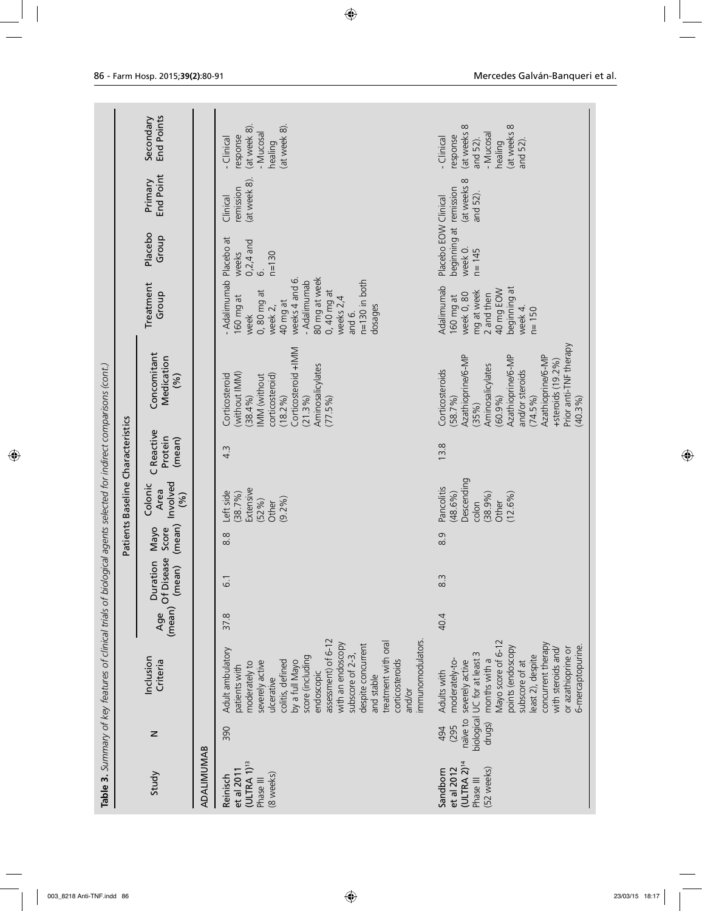|                                                                             |                                    | Table 3. Summary of key features of clinical trials of biological agents selected for indirect comparisons (cont.)                                                                                                                                                                                                                          |      |                                         |                                |                                                                                |                                 |                                                                                                                                                                                                                            |                                                                                                                                                                                                         |                                                                        |                                       |                                                                                                        |
|-----------------------------------------------------------------------------|------------------------------------|---------------------------------------------------------------------------------------------------------------------------------------------------------------------------------------------------------------------------------------------------------------------------------------------------------------------------------------------|------|-----------------------------------------|--------------------------------|--------------------------------------------------------------------------------|---------------------------------|----------------------------------------------------------------------------------------------------------------------------------------------------------------------------------------------------------------------------|---------------------------------------------------------------------------------------------------------------------------------------------------------------------------------------------------------|------------------------------------------------------------------------|---------------------------------------|--------------------------------------------------------------------------------------------------------|
|                                                                             |                                    |                                                                                                                                                                                                                                                                                                                                             |      |                                         |                                | Patients Baseline Characteristics                                              |                                 |                                                                                                                                                                                                                            |                                                                                                                                                                                                         |                                                                        |                                       |                                                                                                        |
| Study                                                                       | $\mathsf{z}$                       | Inclusion<br>Criteria                                                                                                                                                                                                                                                                                                                       |      | (mean) Of Disease<br>Duration<br>(mean) | (mean)<br>Score<br><b>Mayo</b> | Involved<br>Colonic<br>Area<br>(96)                                            | C Reactive<br>Protein<br>(mean) | Concomitant<br>Medication<br>(%)                                                                                                                                                                                           | Treatment<br>Group                                                                                                                                                                                      | Placebo<br>Group                                                       | End Point<br>Primary                  | <b>End Points</b><br>Secondary                                                                         |
| ADALIMUMAB                                                                  |                                    |                                                                                                                                                                                                                                                                                                                                             |      |                                         |                                |                                                                                |                                 |                                                                                                                                                                                                                            |                                                                                                                                                                                                         |                                                                        |                                       |                                                                                                        |
| (UITRA 1) <sup>13</sup><br>et al 2011<br>(8 weeks)<br>Reinisch<br>Phase III | 390                                | assessment) of 6-12<br>immunomodulators.<br>treatment with oral<br>with an endoscopy<br>despite concurrent<br>Adult ambulatory<br>subscore of $2-3$ ,<br>score (including<br>colitis, defined<br>corticosteroids<br>severely active<br>by a full Mayo<br>moderately to<br>patients with<br>endoscopic<br>and stable<br>ulcerative<br>and/or | 37.8 | 6.1                                     | $\frac{8}{8}$                  | Extensive<br>Left side<br>(38.7%)<br>$(9.2\%)$<br>(52%)<br>Other               | $4.\overline{3}$                | Corticosteroid +IMM<br>Aminosalicylates<br>without IMM)<br>corticosteroid)<br>Corticosteroid<br>MM (without<br>38.4%<br>$(18.2\%)$<br>$(21.3\%)$<br>$(77.5\%)$                                                             | Adalimumab Placebo at<br>80 mg at week<br>weeks 4 and 6.<br>$n=130$ in both<br>- Adalimumab<br>$0,40$ mg at<br>0,80 mg at<br>160 mg at<br>weeks 2,4<br>40 mg at<br>dosages<br>week 2,<br>and 6.<br>week | $0,2,4$ and<br>$n = 130$<br>weeks<br>$\dot{\circ}$                     | (at week 8).<br>remission<br>Clinical | (at week 8).<br>(at week 8).<br>- Mucosal<br>response<br>- Clinical<br>healing                         |
| $(ULTRA 2)^{14}$<br>et al 2012<br>$(52$ weeks)<br>Sandborn<br>Phase III     | naïve to<br>drugs)<br>(295)<br>494 | Mayo score of 6-12<br>concurrent therapy<br>6-mercaptopurine.<br>points (endoscopy<br>or azathioprine or<br>with steroids and<br>S<br>east 2), despite<br>biological UC for at least<br>moderately-to-<br>months with a<br>severely active<br>subscore of at<br>Adults with                                                                 | 40.4 | $\frac{3}{8}$                           | $\frac{8}{8}$                  | Descending<br>Pancolitis<br>(38.9%)<br>(48.6%)<br>$(12.6\%)$<br>Other<br>colon | 13.8                            | Prior anti-TNF therapy<br>Azathioprine/6-MP<br>Azathioprine/6-MP<br>Azathioprine/6-MP<br>+steroids (19.2%)<br>Aminosalicylates<br>Corticosteroids<br>and/or steroids<br>60.9%<br>$(74.5\%)$<br>(40.3%)<br>(58.7%)<br>(35%) | Adalimumab<br>beginning at<br>40 mg EOW<br>mg at week<br>week 0, 80<br>2 and then<br>160 mg at<br>week 4.<br>$n = 150$                                                                                  | beginning at remission<br>Placebo EOW Clinical<br>week 0.<br>$n = 145$ | (at weeks 8<br>and 52).               | (at weeks 8<br>(at weeks 8<br>- Mucosal<br>response<br>- Clinical<br>and 52).<br>and $52$ )<br>healing |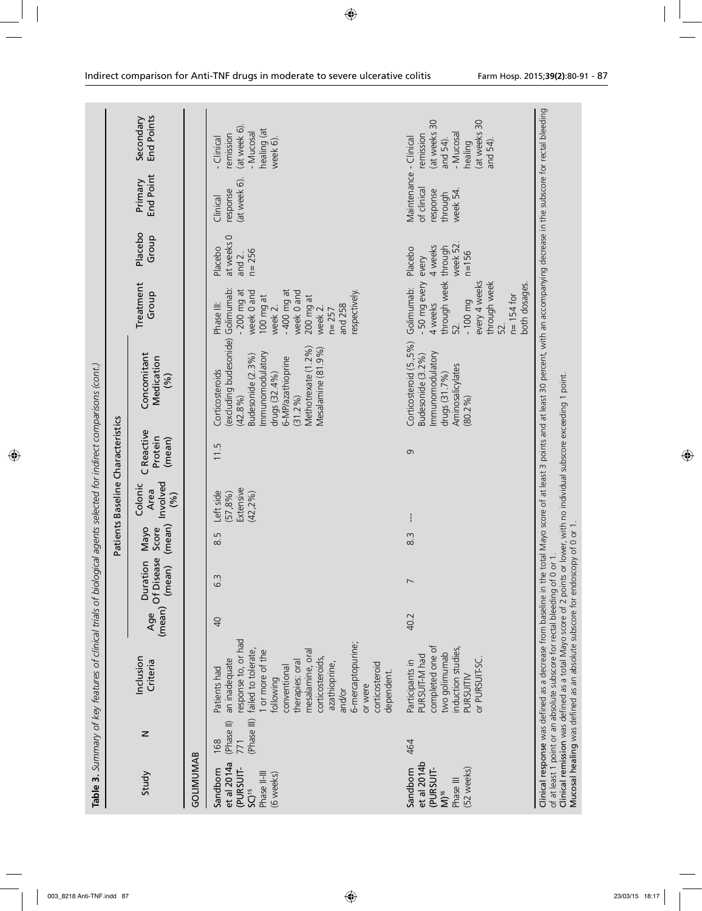|                                                                                       |                                         | Table 3. Summary of key features of clinical trials of biological agents selected for indirect comparisons (cont.)                                                                                                                                                                     |                |                                         |                                |                                                      |                                 |                                                                                                                                                                                                   |                                                                                                                                                                               |                                                     |                                                                          |                                                                                          |
|---------------------------------------------------------------------------------------|-----------------------------------------|----------------------------------------------------------------------------------------------------------------------------------------------------------------------------------------------------------------------------------------------------------------------------------------|----------------|-----------------------------------------|--------------------------------|------------------------------------------------------|---------------------------------|---------------------------------------------------------------------------------------------------------------------------------------------------------------------------------------------------|-------------------------------------------------------------------------------------------------------------------------------------------------------------------------------|-----------------------------------------------------|--------------------------------------------------------------------------|------------------------------------------------------------------------------------------|
|                                                                                       |                                         |                                                                                                                                                                                                                                                                                        |                |                                         |                                | Patients Baseline Characteristics                    |                                 |                                                                                                                                                                                                   |                                                                                                                                                                               |                                                     |                                                                          |                                                                                          |
| Study                                                                                 | z                                       | Inclusion<br>Criteria                                                                                                                                                                                                                                                                  |                | (mean) Of Disease<br>Duration<br>(mean) | (mean)<br>Score<br><b>Mayo</b> | Involved<br>Colonic<br>Area<br>(%)                   | C Reactive<br>Protein<br>(mean) | Concomitant<br>Medication<br>(%)                                                                                                                                                                  | Treatment<br>Group                                                                                                                                                            | Placebo<br>Group                                    | End Point<br>Primary                                                     | End Points<br>Secondary                                                                  |
| GOLIMUMAB                                                                             |                                         |                                                                                                                                                                                                                                                                                        |                |                                         |                                |                                                      |                                 |                                                                                                                                                                                                   |                                                                                                                                                                               |                                                     |                                                                          |                                                                                          |
| et al 2014a<br>(PURSUIT-<br>Sandborn<br>Phase II-III<br>(6 weeks)<br>SC15             | (Phase III)<br>(Phase II)<br>771<br>168 | response to, or had<br>6-mercaptopurine;<br>failed to tolerate,<br>mesalamine, oral<br>or more of the<br>corticosteroids,<br>an inadequate<br>therapies: oral<br>azathioprine,<br>corticosteroid<br>conventional<br>Patients had<br>dependent.<br>following<br>or were<br>and/or       | $\overline{a}$ | $6.\overline{3}$                        | 8.5                            | Extensive<br>Left side<br>$(57, 8\%)$<br>$(42, 2\%)$ | 11.5                            | excluding budesonide)<br>Methotrexate (1.2%)<br>Mesalamine (81.9%)<br>mmunomodulatory<br>Budesonide (2.3%)<br>6-MP/azathioprine<br>Corticosteroids<br>drugs (32.4%)<br>(31.2%)<br>(42.8%)         | Golimumab:<br>$-200$ mg at<br>$-400$ mg at<br>week 0 and<br>week 0 and<br>respectively.<br>100 mg at<br>200 mg at<br>Phase III:<br>and 258<br>week 2.<br>week 2.<br>$n = 257$ | at weeks 0<br>Placebo<br>$n = 256$<br>and $2$ .     | at week 6).<br>response<br>Clinical                                      | (at week 6).<br>healing (at<br>- Mucosal<br>remission<br>- Clinical<br>week 6).          |
| et al 2014b<br>Sandborn<br>(PURSUIT-<br>(52 weeks)<br>Phase III<br>$M)$ <sup>16</sup> | 464                                     | completed one of<br>induction studies,<br>two golimumab<br>PURSUIT-M had<br>or PURSUIT-SC<br>Participants in<br>PURSUITIV                                                                                                                                                              | 40.2           | $\overline{ }$                          | $\frac{3}{8}$                  |                                                      | 9                               | Corticosteroid (5., 5%)<br>mmunomodulatory<br>Budesonide (3.2%)<br>Aminosalicylates<br>drugs (31.7%)<br>(80.2%)                                                                                   | through week through<br>- 50 mg every<br>every 4 weeks<br>through week<br>both dosages.<br>Golimumab:<br>$n = 154$ for<br>$-100$ mg<br>4 weeks<br>52.<br>52.                  | week 52<br>4 weeks<br>Placebo<br>$n = 156$<br>every | Maintenance - Clinical<br>of clinical<br>response<br>week 54.<br>through | (at weeks 30<br>(at weeks 30<br>remission<br>- Mucosal<br>and 54).<br>and 54)<br>healing |
|                                                                                       |                                         | Clinical remission was defined as a total Mayo score of 2 points or lower, with no individual subscore exceeding 1 point.<br>Mucosal healing was defined as an absolute subscore for endoscopy of 0 or 1.<br>of at least 1 point or an absolute subscore for rectal bleeding of 0 or 1 |                |                                         |                                |                                                      |                                 | Clinical response was defined as a decrease from baseline in the total Mayo score of at least 3 points and at least 30 percent, with an accompanying decrease in the subscore for rectal bleeding |                                                                                                                                                                               |                                                     |                                                                          |                                                                                          |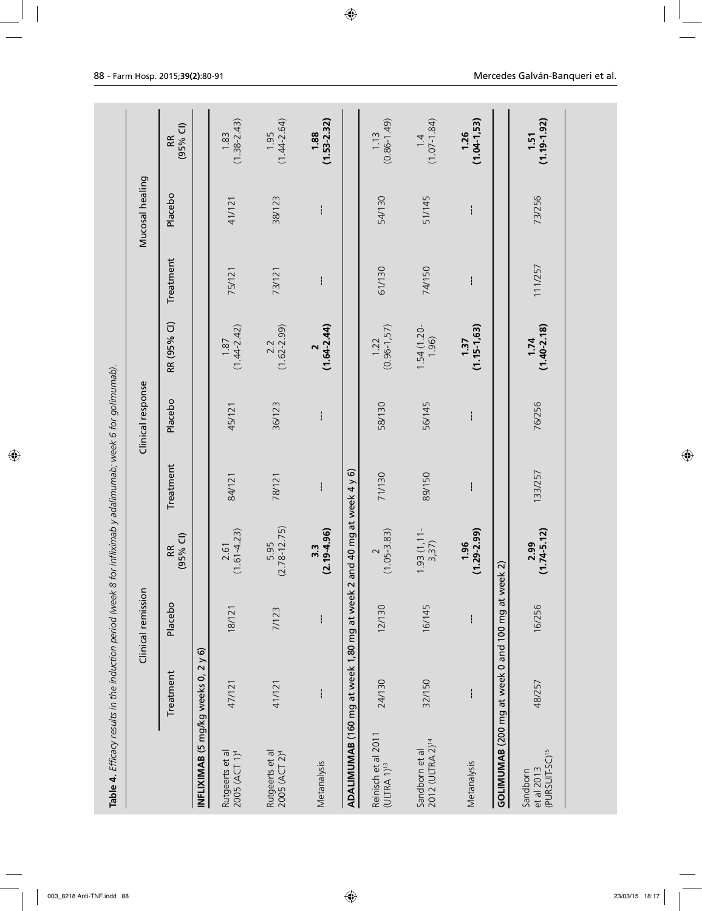| Table 4. Efficacy results in the induction period (week 8 for infliximab y adalimumab; week 6 for golimumab). |               |                    |                           |               |                   |                            |           |                 |                          |
|---------------------------------------------------------------------------------------------------------------|---------------|--------------------|---------------------------|---------------|-------------------|----------------------------|-----------|-----------------|--------------------------|
|                                                                                                               |               | Clinical remission |                           |               | Clinical response |                            |           | Mucosal healing |                          |
|                                                                                                               | Treatment     | Placebo            | $(95%$ CI)<br>RR          | Treatment     | Placebo           | RR (95% CI)                | Treatment | Placebo         | $(95%$ Cl)<br>RR         |
| INFLIXIMAB (5 mg/kg weeks 0, 2 y 6)                                                                           |               |                    |                           |               |                   |                            |           |                 |                          |
| Rutgeerts et al<br>2005 (ACT 1) <sup>4</sup>                                                                  | 47/121        | 18/121             | $(1.61 - 4.23)$<br>2.61   | 84/121        | 45/121            | $(1.87$<br>$(1.44 - 2.42)$ | 75/121    | 41/121          | $(1.83$<br>$(1.38-2.43)$ |
| Rutgeerts et al<br>2005 (ACT 2) <sup>4</sup>                                                                  | 41/121        | 7/123              | $(2.78 - 12.75)$<br>5.95  | 78/121        | 36/123            | $(1.62 - 2.99)$<br>2.2     | 73/121    | 38/123          | $(1.44 - 2.64)$<br>1.95  |
| Metanalysis                                                                                                   | ł             | ł                  | $(2.19-4.96)$<br>3.3      |               |                   | $(1.64 - 2.44)$<br>$\sim$  |           | I               | $(1.53 - 2.32)$<br>1.88  |
| ADALIMUMAB (160 mg at week 1,80 mg at week 2 and 40 mg at week 4 y 6)                                         |               |                    |                           |               |                   |                            |           |                 |                          |
| Reinisch et al 2011<br>(UITRA 1) <sup>13</sup>                                                                | 24/130        | 12/130             | $(1.05 - 3.83)$           | 71/130        | 58/130            | $(0.96 - 1.57)$<br>1.22    | 61/130    | 54/130          | $(0.86 - 1.49)$<br>1.13  |
| 2012 (ULTRA 2) <sup>14</sup><br>Sandborn et al                                                                | 32/150        | 16/145             | $1.93(1, 11-$<br>$3, 37)$ | 89/150        | 56/145            | $1.54(1.20 - 1.96)$        | 74/150    | 51/145          | $(1.07 - 1.84)$          |
| Metanalysis                                                                                                   | $\frac{1}{1}$ | $\mathbf{I}$       | $(1.29 - 2.99)$<br>1.96   | $\frac{1}{1}$ | ł                 | $(1.15 - 1.63)$<br>1.37    | ł         | ł               | $(1.04 - 1.53)$<br>1.26  |
| GOLIMUMAB (200 mg at week 0 and 100 mg at week 2)                                                             |               |                    |                           |               |                   |                            |           |                 |                          |
| (PURSUIT-SC) <sup>15</sup><br>et al 2013<br>Sandborn                                                          | 48/257        | 16/256             | $(1.74 - 5.12)$<br>2.99   | 133/257       | 76/256            | $(1.40 - 2.18)$<br>1.74    | 111/257   | 73/256          | $(1.19 - 1.92)$<br>1.51  |
|                                                                                                               |               |                    |                           |               |                   |                            |           |                 |                          |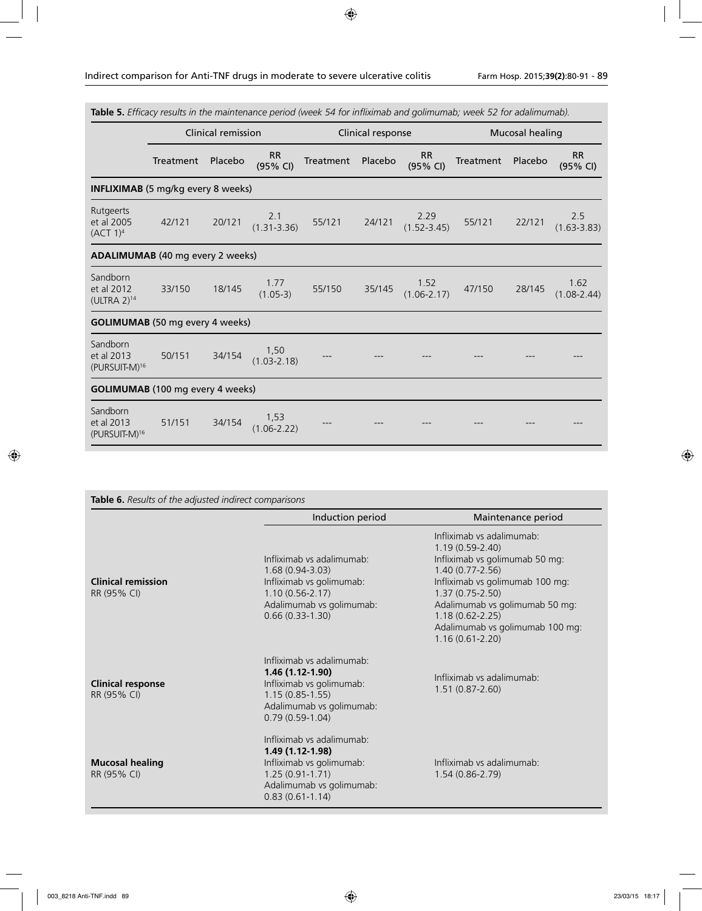|                                                      |           |                           |                         |           |                   |                         | <b>Table 5.</b> Efficacy results in the maintenance period (week 54 for infliximab and golimumab; week 52 for adalimumab). |                 |                         |
|------------------------------------------------------|-----------|---------------------------|-------------------------|-----------|-------------------|-------------------------|----------------------------------------------------------------------------------------------------------------------------|-----------------|-------------------------|
|                                                      |           | <b>Clinical remission</b> |                         |           | Clinical response |                         |                                                                                                                            | Mucosal healing |                         |
|                                                      | Treatment | Placebo                   | <b>RR</b><br>(95% CI)   | Treatment | Placebo           | <b>RR</b><br>(95% CI)   | <b>Treatment</b>                                                                                                           | Placebo         | <b>RR</b><br>(95% CI)   |
| <b>INFLIXIMAB</b> (5 mg/kg every 8 weeks)            |           |                           |                         |           |                   |                         |                                                                                                                            |                 |                         |
| Rutgeerts<br>et al 2005<br>(ACT 1) <sup>4</sup>      | 42/121    | 20/121                    | 2.1<br>$(1.31 - 3.36)$  | 55/121    | 24/121            | 2.29<br>$(1.52 - 3.45)$ | 55/121                                                                                                                     | 22/121          | 2.5<br>$(1.63 - 3.83)$  |
| <b>ADALIMUMAB</b> (40 mg every 2 weeks)              |           |                           |                         |           |                   |                         |                                                                                                                            |                 |                         |
| Sandborn<br>et al 2012<br>(ULTRA $2$ ) <sup>14</sup> | 33/150    | 18/145                    | 1.77<br>$(1.05-3)$      | 55/150    | 35/145            | 1.52<br>$(1.06 - 2.17)$ | 47/150                                                                                                                     | 28/145          | 1.62<br>$(1.08 - 2.44)$ |
| <b>GOLIMUMAB</b> (50 mg every 4 weeks)               |           |                           |                         |           |                   |                         |                                                                                                                            |                 |                         |
| Sandborn<br>et al 2013<br>(PURSUIT-M) <sup>16</sup>  | 50/151    | 34/154                    | 1,50<br>$(1.03 - 2.18)$ |           |                   |                         |                                                                                                                            |                 |                         |
| <b>GOLIMUMAB</b> (100 mg every 4 weeks)              |           |                           |                         |           |                   |                         |                                                                                                                            |                 |                         |
| Sandborn<br>et al 2013<br>(PURSUIT-M) <sup>16</sup>  | 51/151    | 34/154                    | 1,53<br>$(1.06 - 2.22)$ |           |                   |                         |                                                                                                                            |                 |                         |

|                                          | Induction period                                                                                                                                     | Maintenance period                                                                                                                                                                                                                                                                   |
|------------------------------------------|------------------------------------------------------------------------------------------------------------------------------------------------------|--------------------------------------------------------------------------------------------------------------------------------------------------------------------------------------------------------------------------------------------------------------------------------------|
| <b>Clinical remission</b><br>RR (95% CI) | Infliximab vs adalimumab:<br>$1.68(0.94-3.03)$<br>Infliximab vs golimumab:<br>$1.10(0.56 - 2.17)$<br>Adalimumab vs golimumab:<br>$0.66(0.33-1.30)$   | Infliximab vs adalimumab:<br>$1.19(0.59 - 2.40)$<br>Infliximab vs golimumab 50 mg:<br>$1.40(0.77 - 2.56)$<br>Infliximab vs golimumab 100 mg:<br>$1.37(0.75-2.50)$<br>Adalimumab vs golimumab 50 mg:<br>$1.18(0.62 - 2.25)$<br>Adalimumab vs golimumab 100 mg:<br>$1.16(0.61 - 2.20)$ |
| <b>Clinical response</b><br>RR (95% CI)  | Infliximab vs adalimumab:<br>1.46 (1.12-1.90)<br>Infliximab vs golimumab:<br>$1.15(0.85-1.55)$<br>Adalimumab vs golimumab:<br>$0.79(0.59-1.04)$      | Infliximab vs adalimumab:<br>$1.51(0.87 - 2.60)$                                                                                                                                                                                                                                     |
| <b>Mucosal healing</b><br>RR (95% CI)    | Infliximab vs adalimumab:<br>$1.49(1.12-1.98)$<br>Infliximab vs golimumab:<br>$1.25(0.91 - 1.71)$<br>Adalimumab vs golimumab:<br>$0.83(0.61 - 1.14)$ | Infliximab vs adalimumab:<br>$1.54(0.86 - 2.79)$                                                                                                                                                                                                                                     |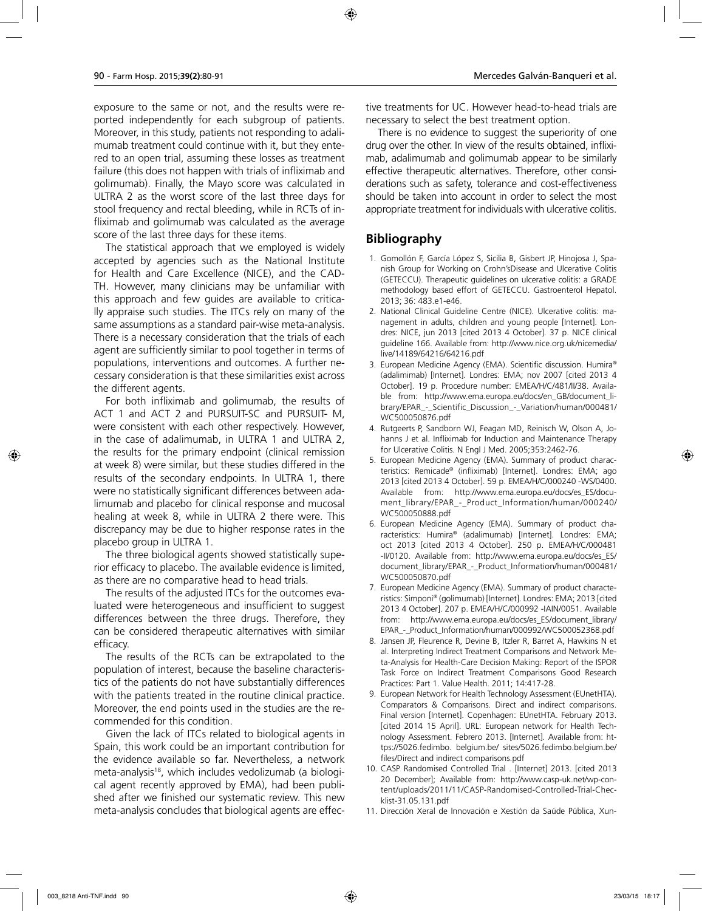exposure to the same or not, and the results were reported independently for each subgroup of patients. Moreover, in this study, patients not responding to adalimumab treatment could continue with it, but they entered to an open trial, assuming these losses as treatment failure (this does not happen with trials of infliximab and golimumab). Finally, the Mayo score was calculated in ULTRA 2 as the worst score of the last three days for stool frequency and rectal bleeding, while in RCTs of infliximab and golimumab was calculated as the average score of the last three days for these items.

The statistical approach that we employed is widely accepted by agencies such as the National Institute for Health and Care Excellence (NICE), and the CAD-TH. However, many clinicians may be unfamiliar with this approach and few guides are available to critically appraise such studies. The ITCs rely on many of the same assumptions as a standard pair-wise meta-analysis. There is a necessary consideration that the trials of each agent are sufficiently similar to pool together in terms of populations, interventions and outcomes. A further necessary consideration is that these similarities exist across the different agents.

For both infliximab and golimumab, the results of ACT 1 and ACT 2 and PURSUIT-SC and PURSUIT- M, were consistent with each other respectively. However, in the case of adalimumab, in ULTRA 1 and ULTRA 2, the results for the primary endpoint (clinical remission at week 8) were similar, but these studies differed in the results of the secondary endpoints. In ULTRA 1, there were no statistically significant differences between adalimumab and placebo for clinical response and mucosal healing at week 8, while in ULTRA 2 there were. This discrepancy may be due to higher response rates in the placebo group in ULTRA 1.

The three biological agents showed statistically superior efficacy to placebo. The available evidence is limited, as there are no comparative head to head trials.

The results of the adjusted ITCs for the outcomes evaluated were heterogeneous and insufficient to suggest differences between the three drugs. Therefore, they can be considered therapeutic alternatives with similar efficacy.

The results of the RCTs can be extrapolated to the population of interest, because the baseline characteristics of the patients do not have substantially differences with the patients treated in the routine clinical practice. Moreover, the end points used in the studies are the recommended for this condition.

Given the lack of ITCs related to biological agents in Spain, this work could be an important contribution for the evidence available so far. Nevertheless, a network meta-analysis<sup>18</sup>, which includes vedolizumab (a biological agent recently approved by EMA), had been published after we finished our systematic review. This new meta-analysis concludes that biological agents are effec-

tive treatments for UC. However head-to-head trials are necessary to select the best treatment option.

There is no evidence to suggest the superiority of one drug over the other. In view of the results obtained, infliximab, adalimumab and golimumab appear to be similarly effective therapeutic alternatives. Therefore, other considerations such as safety, tolerance and cost-effectiveness should be taken into account in order to select the most appropriate treatment for individuals with ulcerative colitis.

# **Bibliography**

- 1. Gomollón F, García López S, Sicilia B, Gisbert JP, Hinojosa J, Spanish Group for Working on Crohn'sDisease and Ulcerative Colitis (GETECCU). Therapeutic guidelines on ulcerative colitis: a GRADE methodology based effort of GETECCU. Gastroenterol Hepatol. 2013; 36: 483.e1-e46.
- 2. National Clinical Guideline Centre (NICE). Ulcerative colitis: management in adults, children and young people [Internet]. Londres: NICE, jun 2013 [cited 2013 4 October]. 37 p. NICE clinical guideline 166. Available from: http://www.nice.org.uk/nicemedia/ live/14189/64216/64216.pdf
- 3. European Medicine Agency (EMA). Scientific discussion. Humira® (adalimimab) [Internet]. Londres: EMA; nov 2007 [cited 2013 4 October]. 19 p. Procedure number: EMEA/H/C/481/II/38. Available from: http://www.ema.europa.eu/docs/en\_GB/document\_library/EPAR\_-\_Scientific\_Discussion\_-\_Variation/human/000481/ WC500050876.pdf
- 4. Rutgeerts P, Sandborn WJ, Feagan MD, Reinisch W, Olson A, Johanns J et al. Infliximab for Induction and Maintenance Therapy for Ulcerative Colitis. N Engl J Med. 2005;353:2462-76.
- 5. European Medicine Agency (EMA). Summary of product characteristics: Remicade® (infliximab) [Internet]. Londres: EMA; ago 2013 [cited 2013 4 October]. 59 p. EMEA/H/C/000240 -WS/0400. Available from: http://www.ema.europa.eu/docs/es\_ES/document\_library/EPAR\_-\_Product\_Information/human/000240/ WC500050888.pdf
- 6. European Medicine Agency (EMA). Summary of product characteristics: Humira® (adalimumab) [Internet]. Londres: EMA; oct 2013 [cited 2013 4 October]. 250 p. EMEA/H/C/000481 -II/0120. Available from: http://www.ema.europa.eu/docs/es\_ES/ document\_library/EPAR\_-\_Product\_Information/human/000481/ WC500050870.pdf
- 7. European Medicine Agency (EMA). Summary of product characteristics: Simponi® (golimumab) [Internet]. Londres: EMA; 2013 [cited 2013 4 October]. 207 p. EMEA/H/C/000992 -IAIN/0051. Available from: http://www.ema.europa.eu/docs/es\_ES/document\_library/ EPAR - Product Information/human/000992/WC500052368.pdf
- 8. Jansen JP, Fleurence R, Devine B, Itzler R, Barret A, Hawkins N et al. Interpreting Indirect Treatment Comparisons and Network Meta-Analysis for Health-Care Decision Making: Report of the ISPOR Task Force on Indirect Treatment Comparisons Good Research Practices: Part 1. Value Health. 2011; 14:417-28.
- 9. European Network for Health Technology Assessment (EUnetHTA). Comparators & Comparisons. Direct and indirect comparisons. Final version [Internet]. Copenhagen: EUnetHTA. February 2013. [cited 2014 15 April]. URL: European network for Health Technology Assessment. Febrero 2013. [Internet]. Available from: https://5026.fedimbo. belgium.be/ sites/5026.fedimbo.belgium.be/ files/Direct and indirect comparisons.pdf
- 10. CASP Randomised Controlled Trial . [Internet] 2013. [cited 2013 20 December]; Available from: http://www.casp-uk.net/wp-content/uploads/2011/11/CASP-Randomised-Controlled-Trial-Checklist-31.05.131.pdf
- 11. Dirección Xeral de Innovación e Xestión da Saúde Pública, Xun-